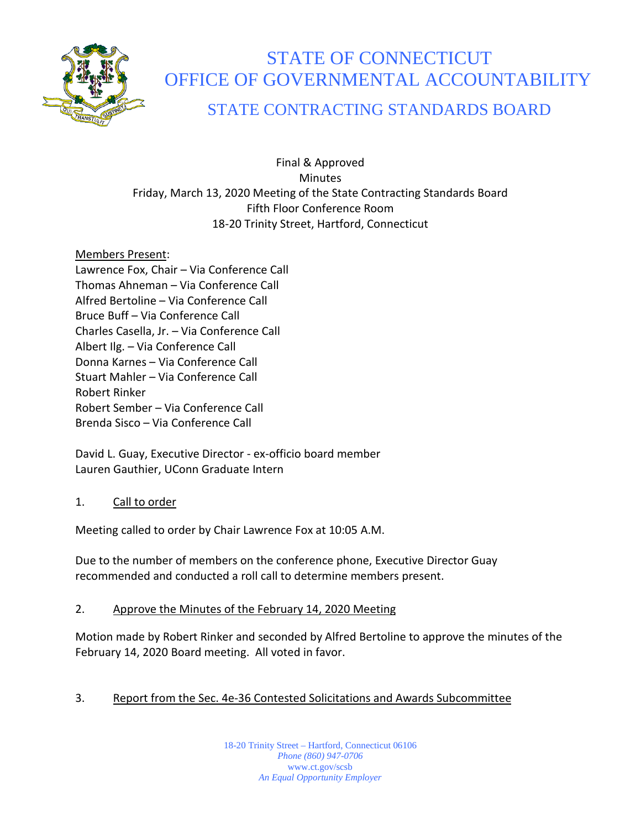

# STATE OF CONNECTICUT OFFICE OF GOVERNMENTAL ACCOUNTABILITY

# STATE CONTRACTING STANDARDS BOARD

Final & Approved Minutes Friday, March 13, 2020 Meeting of the State Contracting Standards Board Fifth Floor Conference Room 18-20 Trinity Street, Hartford, Connecticut

Members Present:

Lawrence Fox, Chair – Via Conference Call Thomas Ahneman – Via Conference Call Alfred Bertoline – Via Conference Call Bruce Buff – Via Conference Call Charles Casella, Jr. – Via Conference Call Albert Ilg. – Via Conference Call Donna Karnes – Via Conference Call Stuart Mahler – Via Conference Call Robert Rinker Robert Sember – Via Conference Call Brenda Sisco – Via Conference Call

David L. Guay, Executive Director - ex-officio board member Lauren Gauthier, UConn Graduate Intern

# 1. Call to order

Meeting called to order by Chair Lawrence Fox at 10:05 A.M.

Due to the number of members on the conference phone, Executive Director Guay recommended and conducted a roll call to determine members present.

# 2. Approve the Minutes of the February 14, 2020 Meeting

Motion made by Robert Rinker and seconded by Alfred Bertoline to approve the minutes of the February 14, 2020 Board meeting. All voted in favor.

# 3. Report from the Sec. 4e-36 Contested Solicitations and Awards Subcommittee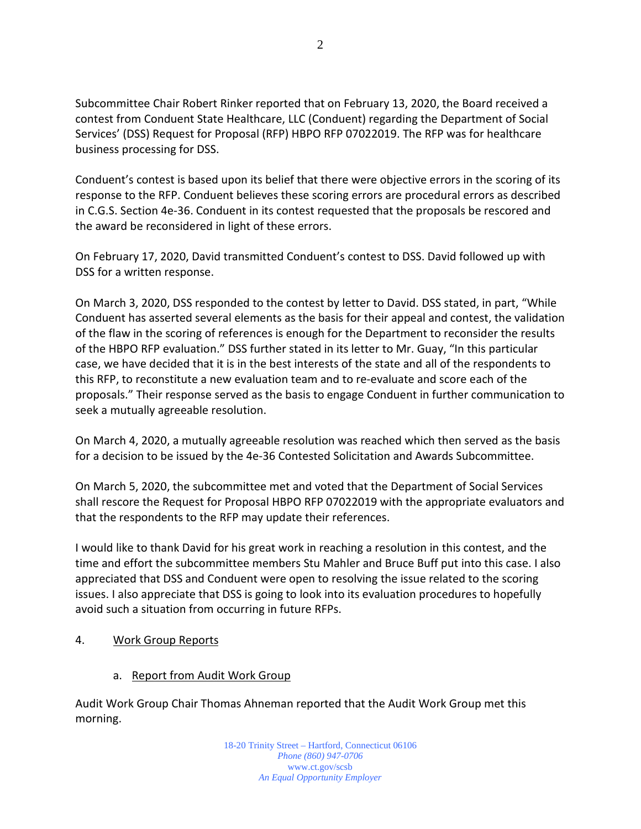2

Subcommittee Chair Robert Rinker reported that on February 13, 2020, the Board received a contest from Conduent State Healthcare, LLC (Conduent) regarding the Department of Social Services' (DSS) Request for Proposal (RFP) HBPO RFP 07022019. The RFP was for healthcare business processing for DSS.

Conduent's contest is based upon its belief that there were objective errors in the scoring of its response to the RFP. Conduent believes these scoring errors are procedural errors as described in C.G.S. Section 4e-36. Conduent in its contest requested that the proposals be rescored and the award be reconsidered in light of these errors.

On February 17, 2020, David transmitted Conduent's contest to DSS. David followed up with DSS for a written response.

On March 3, 2020, DSS responded to the contest by letter to David. DSS stated, in part, "While Conduent has asserted several elements as the basis for their appeal and contest, the validation of the flaw in the scoring of references is enough for the Department to reconsider the results of the HBPO RFP evaluation." DSS further stated in its letter to Mr. Guay, "In this particular case, we have decided that it is in the best interests of the state and all of the respondents to this RFP, to reconstitute a new evaluation team and to re-evaluate and score each of the proposals." Their response served as the basis to engage Conduent in further communication to seek a mutually agreeable resolution.

On March 4, 2020, a mutually agreeable resolution was reached which then served as the basis for a decision to be issued by the 4e-36 Contested Solicitation and Awards Subcommittee.

On March 5, 2020, the subcommittee met and voted that the Department of Social Services shall rescore the Request for Proposal HBPO RFP 07022019 with the appropriate evaluators and that the respondents to the RFP may update their references.

I would like to thank David for his great work in reaching a resolution in this contest, and the time and effort the subcommittee members Stu Mahler and Bruce Buff put into this case. I also appreciated that DSS and Conduent were open to resolving the issue related to the scoring issues. I also appreciate that DSS is going to look into its evaluation procedures to hopefully avoid such a situation from occurring in future RFPs.

- 4. Work Group Reports
	- a. Report from Audit Work Group

Audit Work Group Chair Thomas Ahneman reported that the Audit Work Group met this morning.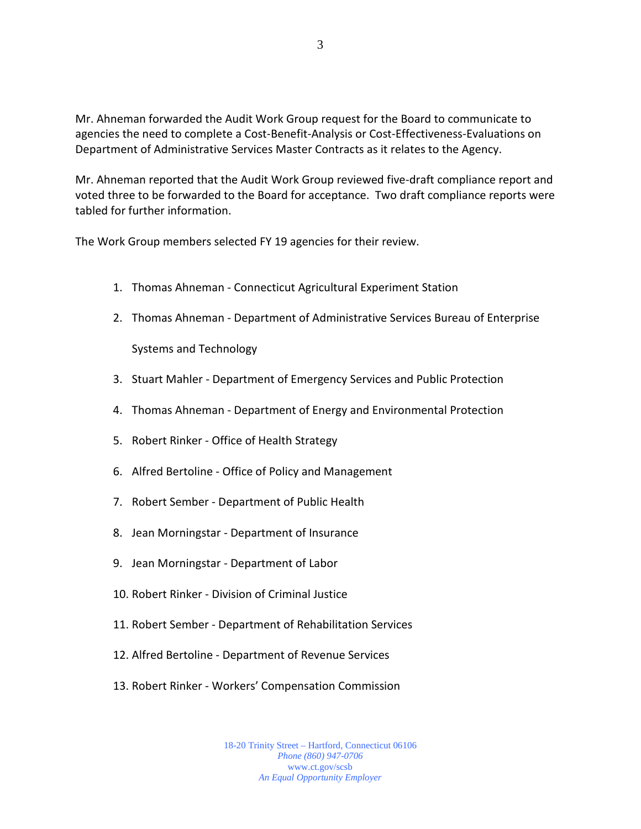Mr. Ahneman forwarded the Audit Work Group request for the Board to communicate to agencies the need to complete a Cost-Benefit-Analysis or Cost-Effectiveness-Evaluations on Department of Administrative Services Master Contracts as it relates to the Agency.

Mr. Ahneman reported that the Audit Work Group reviewed five-draft compliance report and voted three to be forwarded to the Board for acceptance. Two draft compliance reports were tabled for further information.

The Work Group members selected FY 19 agencies for their review.

- 1. Thomas Ahneman Connecticut Agricultural Experiment Station
- 2. Thomas Ahneman Department of Administrative Services Bureau of Enterprise

Systems and Technology

- 3. Stuart Mahler Department of Emergency Services and Public Protection
- 4. Thomas Ahneman Department of Energy and Environmental Protection
- 5. Robert Rinker Office of Health Strategy
- 6. Alfred Bertoline Office of Policy and Management
- 7. Robert Sember Department of Public Health
- 8. Jean Morningstar Department of Insurance
- 9. Jean Morningstar Department of Labor
- 10. Robert Rinker Division of Criminal Justice
- 11. Robert Sember Department of Rehabilitation Services
- 12. Alfred Bertoline Department of Revenue Services
- 13. Robert Rinker Workers' Compensation Commission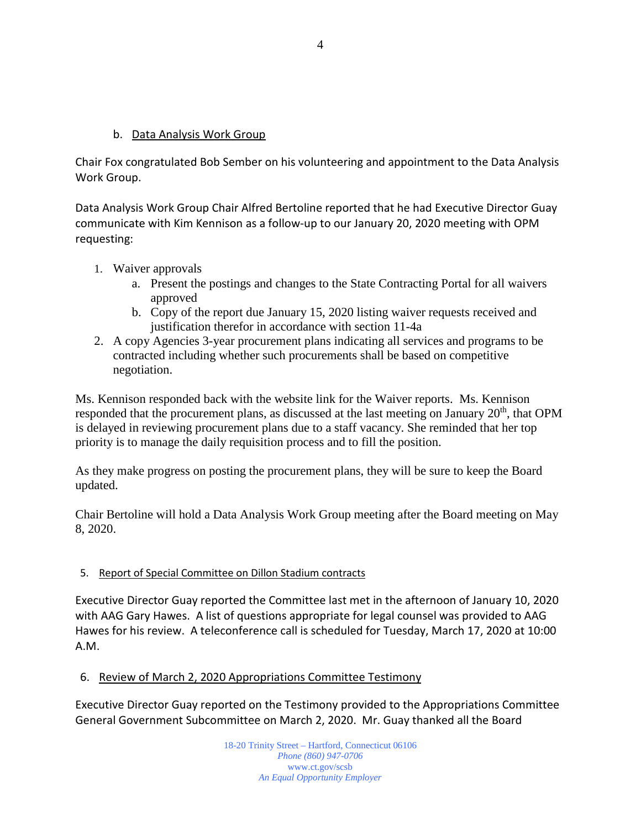#### b. Data Analysis Work Group

Chair Fox congratulated Bob Sember on his volunteering and appointment to the Data Analysis Work Group.

Data Analysis Work Group Chair Alfred Bertoline reported that he had Executive Director Guay communicate with Kim Kennison as a follow-up to our January 20, 2020 meeting with OPM requesting:

- 1. Waiver approvals
	- a. Present the postings and changes to the State Contracting Portal for all waivers approved
	- b. Copy of the report due January 15, 2020 listing waiver requests received and justification therefor in accordance with section 11-4a
- 2. A copy Agencies 3-year procurement plans indicating all services and programs to be contracted including whether such procurements shall be based on competitive negotiation.

Ms. Kennison responded back with the website link for the Waiver reports. Ms. Kennison responded that the procurement plans, as discussed at the last meeting on January  $20<sup>th</sup>$ , that OPM is delayed in reviewing procurement plans due to a staff vacancy. She reminded that her top priority is to manage the daily requisition process and to fill the position.

As they make progress on posting the procurement plans, they will be sure to keep the Board updated.

Chair Bertoline will hold a Data Analysis Work Group meeting after the Board meeting on May 8, 2020.

#### 5. Report of Special Committee on Dillon Stadium contracts

Executive Director Guay reported the Committee last met in the afternoon of January 10, 2020 with AAG Gary Hawes. A list of questions appropriate for legal counsel was provided to AAG Hawes for his review. A teleconference call is scheduled for Tuesday, March 17, 2020 at 10:00 A.M.

#### 6. Review of March 2, 2020 Appropriations Committee Testimony

Executive Director Guay reported on the Testimony provided to the Appropriations Committee General Government Subcommittee on March 2, 2020. Mr. Guay thanked all the Board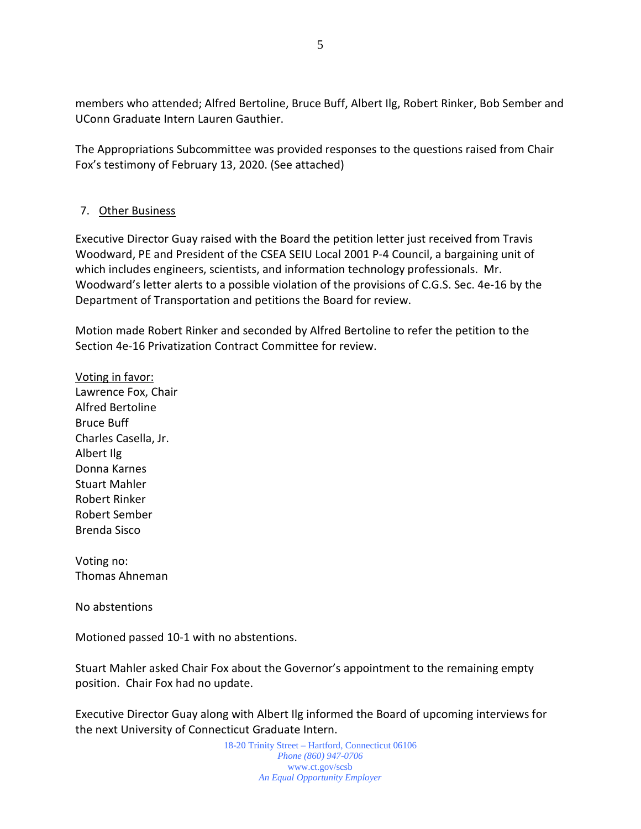members who attended; Alfred Bertoline, Bruce Buff, Albert Ilg, Robert Rinker, Bob Sember and UConn Graduate Intern Lauren Gauthier.

The Appropriations Subcommittee was provided responses to the questions raised from Chair Fox's testimony of February 13, 2020. (See attached)

#### 7. Other Business

Executive Director Guay raised with the Board the petition letter just received from Travis Woodward, PE and President of the CSEA SEIU Local 2001 P-4 Council, a bargaining unit of which includes engineers, scientists, and information technology professionals. Mr. Woodward's letter alerts to a possible violation of the provisions of C.G.S. Sec. 4e-16 by the Department of Transportation and petitions the Board for review.

Motion made Robert Rinker and seconded by Alfred Bertoline to refer the petition to the Section 4e-16 Privatization Contract Committee for review.

Voting in favor: Lawrence Fox, Chair Alfred Bertoline Bruce Buff Charles Casella, Jr. Albert Ilg Donna Karnes Stuart Mahler Robert Rinker Robert Sember Brenda Sisco

Voting no: Thomas Ahneman

No abstentions

Motioned passed 10-1 with no abstentions.

Stuart Mahler asked Chair Fox about the Governor's appointment to the remaining empty position. Chair Fox had no update.

Executive Director Guay along with Albert Ilg informed the Board of upcoming interviews for the next University of Connecticut Graduate Intern.